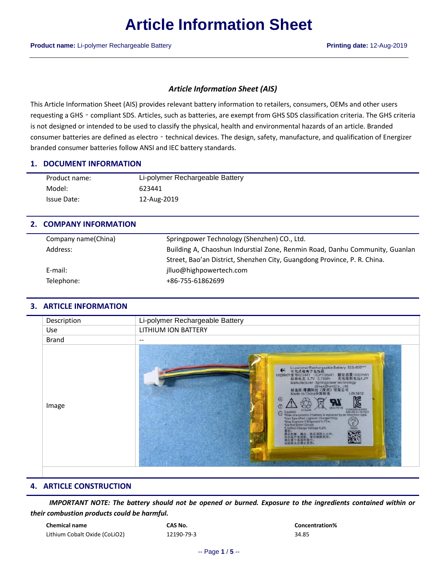## *Article Information Sheet (AIS)*

This Article Information Sheet (AIS) provides relevant battery information to retailers, consumers, OEMs and other users requesting a GHS - compliant SDS. Articles, such as batteries, are exempt from GHS SDS classification criteria. The GHS criteria is not designed or intended to be used to classify the physical, health and environmental hazards of an article. Branded consumer batteries are defined as electro - technical devices. The design, safety, manufacture, and qualification of Energizer branded consumer batteries follow ANSI and IEC battery standards.

#### **1. DOCUMENT INFORMATION**

| Product name: | Li-polymer Rechargeable Battery |
|---------------|---------------------------------|
| Model:        | 623441                          |
| Issue Date:   | 12-Aug-2019                     |

## **2. COMPANY INFORMATION**

| Company name(China) | Springpower Technology (Shenzhen) CO., Ltd.                                 |
|---------------------|-----------------------------------------------------------------------------|
| Address:            | Building A, Chaoshun Indurstial Zone, Renmin Road, Danhu Community, Guanlan |
|                     | Street, Bao'an District, Shenzhen City, Guangdong Province, P. R. China.    |
| E-mail:             | jlluo@highpowertech.com                                                     |
| Telephone:          | +86-755-61862699                                                            |
|                     |                                                                             |

### **3. ARTICLE INFORMATION**

| Description  | Li-polymer Rechargeable Battery                                                                                                                                                                                                                                                                                                                                                                                                                                                                                                                                                                                                               |
|--------------|-----------------------------------------------------------------------------------------------------------------------------------------------------------------------------------------------------------------------------------------------------------------------------------------------------------------------------------------------------------------------------------------------------------------------------------------------------------------------------------------------------------------------------------------------------------------------------------------------------------------------------------------------|
| Use          | LITHIUM ION BATTERY                                                                                                                                                                                                                                                                                                                                                                                                                                                                                                                                                                                                                           |
| <b>Brand</b> | $- -$                                                                                                                                                                                                                                                                                                                                                                                                                                                                                                                                                                                                                                         |
| Image        | Li-polymer Rechargeable Battery 533-000***<br>$\bullet$<br>Logitech 型号623441 1ICP7/35/41 额定容量1000mAh<br>充电限制电压4.2V<br>标称电压 3.7V 3.70Wh<br>Manufacturer: Springpower technology<br>(ShenZhen)Co., Ltd.<br>制造商:曙膈科技《深圳》有限公司<br>L/N:1812<br>Made in China中国制造<br>⊕<br><b>MH47218</b><br><b>YUNOCKIK KNOOK</b><br>A/Bz+82-2-716-0221<br>Cautiont<br>$\Theta$<br>"Risk of explosion if battery is replaced by an incorrect type.<br>"Use Specified Logitech Charger Only.<br>"May Explode if Disposed in Fire.<br>"Do Not Short Circuit.<br>PS<br>E<br>"Limited Charge Voltage 4,2V.<br>00000<br>禁止拆解、搜出、挤压或投入火中。<br>看出现严重鼓胀,请勿继续使用。<br>词勿宣于美温坏项中。 |

### **4. ARTICLE CONSTRUCTION**

*IMPORTANT NOTE: The battery should not be opened or burned. Exposure to the ingredients contained within or their combustion products could be harmful.*

| <b>Chemical name</b>          | CAS No.    | Conce |
|-------------------------------|------------|-------|
| Lithium Cobalt Oxide (CoLiO2) | 12190-79-3 | 34.85 |

 $Concentration%$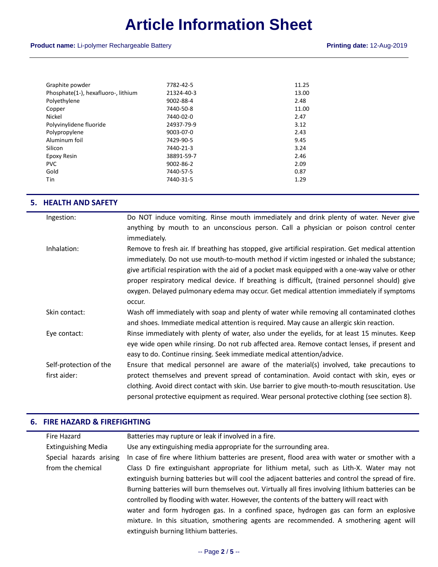## **Product name:** Li-polymer Rechargeable Battery **Printing date:** 12-Aug-2019

| Graphite powder                     | 7782-42-5       | 11.25 |
|-------------------------------------|-----------------|-------|
| Phosphate(1-), hexafluoro-, lithium | 21324-40-3      | 13.00 |
| Polyethylene                        | 9002-88-4       | 2.48  |
| Copper                              | 7440-50-8       | 11.00 |
| Nickel                              | 7440-02-0       | 2.47  |
| Polyvinylidene fluoride             | 24937-79-9      | 3.12  |
| Polypropylene                       | 9003-07-0       | 2.43  |
| Aluminum foil                       | 7429-90-5       | 9.45  |
| Silicon                             | 7440-21-3       | 3.24  |
| Epoxy Resin                         | 38891-59-7      | 2.46  |
| <b>PVC</b>                          | $9002 - 86 - 2$ | 2.09  |
| Gold                                | 7440-57-5       | 0.87  |
| <b>Tin</b>                          | 7440-31-5       | 1.29  |
|                                     |                 |       |

#### **5. HEALTH AND SAFETY**

| Ingestion:             | Do NOT induce vomiting. Rinse mouth immediately and drink plenty of water. Never give             |
|------------------------|---------------------------------------------------------------------------------------------------|
|                        | anything by mouth to an unconscious person. Call a physician or poison control center             |
|                        | immediately.                                                                                      |
| Inhalation:            | Remove to fresh air. If breathing has stopped, give artificial respiration. Get medical attention |
|                        | immediately. Do not use mouth-to-mouth method if victim ingested or inhaled the substance;        |
|                        | give artificial respiration with the aid of a pocket mask equipped with a one-way valve or other  |
|                        | proper respiratory medical device. If breathing is difficult, (trained personnel should) give     |
|                        | oxygen. Delayed pulmonary edema may occur. Get medical attention immediately if symptoms          |
|                        | occur.                                                                                            |
| Skin contact:          | Wash off immediately with soap and plenty of water while removing all contaminated clothes        |
|                        | and shoes. Immediate medical attention is required. May cause an allergic skin reaction.          |
| Eye contact:           | Rinse immediately with plenty of water, also under the eyelids, for at least 15 minutes. Keep     |
|                        | eye wide open while rinsing. Do not rub affected area. Remove contact lenses, if present and      |
|                        | easy to do. Continue rinsing. Seek immediate medical attention/advice.                            |
| Self-protection of the | Ensure that medical personnel are aware of the material(s) involved, take precautions to          |
| first aider:           | protect themselves and prevent spread of contamination. Avoid contact with skin, eyes or          |
|                        | clothing. Avoid direct contact with skin. Use barrier to give mouth-to-mouth resuscitation. Use   |
|                        | personal protective equipment as required. Wear personal protective clothing (see section 8).     |

## **6. FIRE HAZARD & FIREFIGHTING**

|                                                                                                   | Fire Hazard                | Batteries may rupture or leak if involved in a fire.                                               |
|---------------------------------------------------------------------------------------------------|----------------------------|----------------------------------------------------------------------------------------------------|
|                                                                                                   | <b>Extinguishing Media</b> | Use any extinguishing media appropriate for the surrounding area.                                  |
|                                                                                                   | Special hazards arising    | In case of fire where lithium batteries are present, flood area with water or smother with a       |
|                                                                                                   | from the chemical          | Class D fire extinguishant appropriate for lithium metal, such as Lith-X. Water may not            |
| extinguish burning batteries but will cool the adjacent batteries and control the spread of fire. |                            |                                                                                                    |
|                                                                                                   |                            | Burning batteries will burn themselves out. Virtually all fires involving lithium batteries can be |
|                                                                                                   |                            | controlled by flooding with water. However, the contents of the battery will react with            |
|                                                                                                   |                            | water and form hydrogen gas. In a confined space, hydrogen gas can form an explosive               |
|                                                                                                   |                            | mixture. In this situation, smothering agents are recommended. A smothering agent will             |
|                                                                                                   |                            | extinguish burning lithium batteries.                                                              |
|                                                                                                   |                            |                                                                                                    |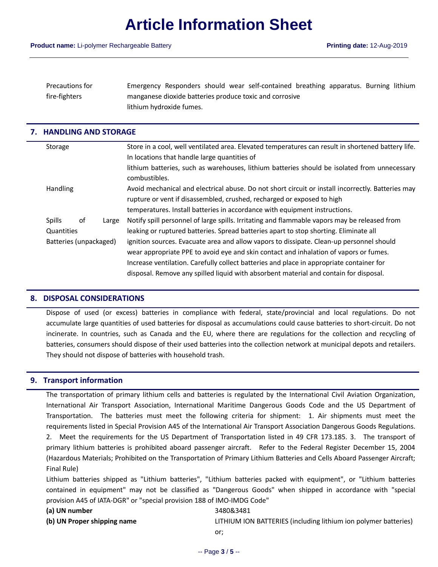| <b>Precautions for</b> | Emergency Responders should wear self-contained breathing apparatus. Burning lithium |
|------------------------|--------------------------------------------------------------------------------------|
| fire-fighters          | manganese dioxide batteries produce toxic and corrosive                              |
|                        | lithium hydroxide fumes.                                                             |

#### **7. HANDLING AND STORAGE**

|                        | Storage                      | Store in a cool, well ventilated area. Elevated temperatures can result in shortened battery life. |
|------------------------|------------------------------|----------------------------------------------------------------------------------------------------|
|                        |                              | In locations that handle large quantities of                                                       |
|                        |                              | lithium batteries, such as warehouses, lithium batteries should be isolated from unnecessary       |
|                        |                              | combustibles.                                                                                      |
|                        | <b>Handling</b>              | Avoid mechanical and electrical abuse. Do not short circuit or install incorrectly. Batteries may  |
|                        |                              | rupture or vent if disassembled, crushed, recharged or exposed to high                             |
|                        |                              | temperatures. Install batteries in accordance with equipment instructions.                         |
|                        | <b>Spills</b><br>οf<br>Large | Notify spill personnel of large spills. Irritating and flammable vapors may be released from       |
|                        | Quantities                   | leaking or ruptured batteries. Spread batteries apart to stop shorting. Eliminate all              |
| Batteries (unpackaged) |                              | ignition sources. Evacuate area and allow vapors to dissipate. Clean-up personnel should           |
|                        |                              | wear appropriate PPE to avoid eye and skin contact and inhalation of vapors or fumes.              |
|                        |                              | Increase ventilation. Carefully collect batteries and place in appropriate container for           |
|                        |                              | disposal. Remove any spilled liquid with absorbent material and contain for disposal.              |
|                        |                              |                                                                                                    |

### **8. DISPOSAL CONSIDERATIONS**

Dispose of used (or excess) batteries in compliance with federal, state/provincial and local regulations. Do not accumulate large quantities of used batteries for disposal as accumulations could cause batteries to short-circuit. Do not incinerate. In countries, such as Canada and the EU, where there are regulations for the collection and recycling of batteries, consumers should dispose of their used batteries into the collection network at municipal depots and retailers. They should not dispose of batteries with household trash.

### **9. Transport information**

The transportation of primary lithium cells and batteries is regulated by the International Civil Aviation Organization, International Air Transport Association, International Maritime Dangerous Goods Code and the US Department of Transportation. The batteries must meet the following criteria for shipment: 1. Air shipments must meet the requirements listed in Special Provision A45 of the International Air Transport Association Dangerous Goods Regulations. 2. Meet the requirements for the US Department of Transportation listed in 49 CFR 173.185. 3. The transport of primary lithium batteries is prohibited aboard passenger aircraft. Refer to the Federal Register December 15, 2004 (Hazardous Materials; Prohibited on the Transportation of Primary Lithium Batteries and Cells Aboard Passenger Aircraft; Final Rule)

Lithium batteries shipped as "Lithium batteries", "Lithium batteries packed with equipment", or "Lithium batteries contained in equipment" may not be classified as "Dangerous Goods" when shipped in accordance with "special provision A45 of IATA-DGR" or "special provision 188 of IMO-IMDG Code"

| (a) UN number               | 3480&3481                                                       |
|-----------------------------|-----------------------------------------------------------------|
| (b) UN Proper shipping name | LITHIUM ION BATTERIES (including lithium ion polymer batteries) |
|                             | or.                                                             |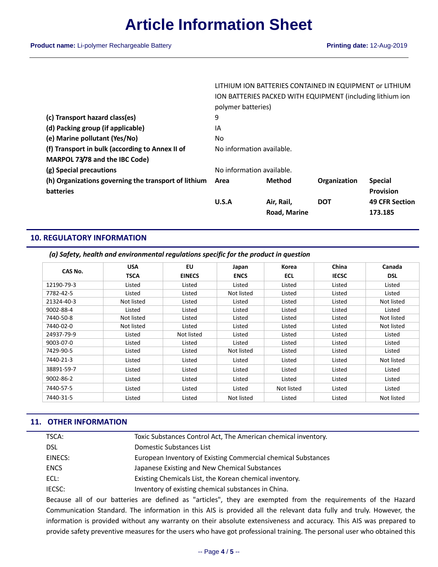|                                                      |                           | <b>Road, Marine</b>                                        |              | 173.185               |
|------------------------------------------------------|---------------------------|------------------------------------------------------------|--------------|-----------------------|
|                                                      | U.S.A                     | Air, Rail,                                                 | <b>DOT</b>   | <b>49 CFR Section</b> |
| <b>batteries</b>                                     |                           |                                                            |              | <b>Provision</b>      |
| (h) Organizations governing the transport of lithium | Area                      | Method                                                     | Organization | <b>Special</b>        |
| (g) Special precautions                              | No information available. |                                                            |              |                       |
| MARPOL 73/78 and the IBC Code)                       |                           |                                                            |              |                       |
| (f) Transport in bulk (according to Annex II of      | No information available. |                                                            |              |                       |
| (e) Marine pollutant (Yes/No)                        | No                        |                                                            |              |                       |
| (d) Packing group (if applicable)                    | IA                        |                                                            |              |                       |
| (c) Transport hazard class(es)                       | 9                         |                                                            |              |                       |
|                                                      | polymer batteries)        |                                                            |              |                       |
|                                                      |                           | ION BATTERIES PACKED WITH EQUIPMENT (including lithium ion |              |                       |
|                                                      |                           | LITHIUM ION BATTERIES CONTAINED IN EQUIPMENT or LITHIUM    |              |                       |

## **10. REGULATORY INFORMATION**

|  |  | (a) Safety, health and environmental regulations specific for the product in question |  |  |  |  |
|--|--|---------------------------------------------------------------------------------------|--|--|--|--|
|--|--|---------------------------------------------------------------------------------------|--|--|--|--|

| CAS No.    | <b>USA</b>  | EU            | Japan       | Korea      | China        | Canada     |
|------------|-------------|---------------|-------------|------------|--------------|------------|
|            | <b>TSCA</b> | <b>EINECS</b> | <b>ENCS</b> | <b>ECL</b> | <b>IECSC</b> | <b>DSL</b> |
| 12190-79-3 | Listed      | Listed        | Listed      | Listed     | Listed       | Listed     |
| 7782-42-5  | Listed      | Listed        | Not listed  | Listed     | Listed       | Listed     |
| 21324-40-3 | Not listed  | Listed        | Listed      | Listed     | Listed       | Not listed |
| 9002-88-4  | Listed      | Listed        | Listed      | Listed     | Listed       | Listed     |
| 7440-50-8  | Not listed  | Listed        | Listed      | Listed     | Listed       | Not listed |
| 7440-02-0  | Not listed  | Listed        | Listed      | Listed     | Listed       | Not listed |
| 24937-79-9 | Listed      | Not listed    | Listed      | Listed     | Listed       | Listed     |
| 9003-07-0  | Listed      | Listed        | Listed      | Listed     | Listed       | Listed     |
| 7429-90-5  | Listed      | Listed        | Not listed  | Listed     | Listed       | Listed     |
| 7440-21-3  | Listed      | Listed        | Listed      | Listed     | Listed       | Not listed |
| 38891-59-7 | Listed      | Listed        | Listed      | Listed     | Listed       | Listed     |
| 9002-86-2  | Listed      | Listed        | Listed      | Listed     | Listed       | Listed     |
| 7440-57-5  | Listed      | Listed        | Listed      | Not listed | Listed       | Listed     |
| 7440-31-5  | Listed      | Listed        | Not listed  | Listed     | Listed       | Not listed |

### **11. OTHER INFORMATION**

| TSCA:       | Toxic Substances Control Act, The American chemical inventory. |  |
|-------------|----------------------------------------------------------------|--|
| <b>DSL</b>  | Domestic Substances List                                       |  |
| EINECS:     | European Inventory of Existing Commercial chemical Substances  |  |
| <b>ENCS</b> | Japanese Existing and New Chemical Substances                  |  |
| ECL:        | Existing Chemicals List, the Korean chemical inventory.        |  |
| IECSC:      | Inventory of existing chemical substances in China.            |  |
|             |                                                                |  |

Because all of our batteries are defined as "articles", they are exempted from the requirements of the Hazard Communication Standard. The information in this AIS is provided all the relevant data fully and truly. However, the information is provided without any warranty on their absolute extensiveness and accuracy. This AIS was prepared to provide safety preventive measures for the users who have got professional training. The personal user who obtained this